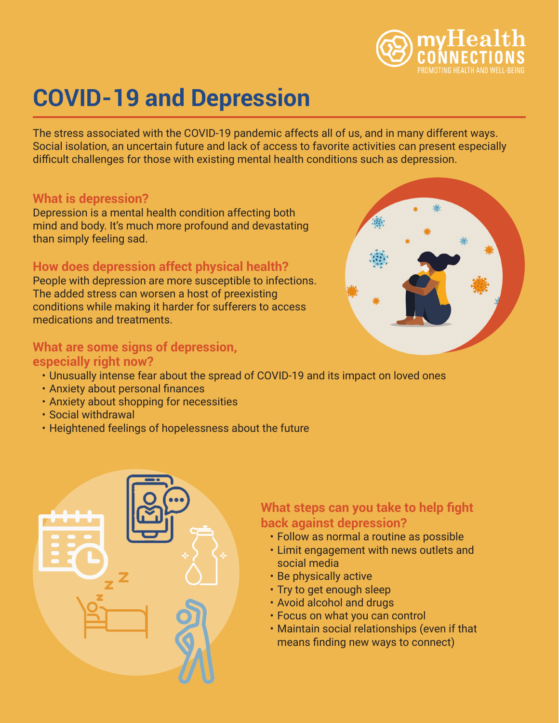

# **COVID-19 and Depression**

The stress associated with the COVID-19 pandemic affects all of us, and in many different ways. Social isolation, an uncertain future and lack of access to favorite activities can present especially difficult challenges for those with existing mental health conditions such as depression.

#### **What is depression?**

Depression is a mental health condition affecting both mind and body. It's much more profound and devastating than simply feeling sad.

## **How does depression affect physical health?**

People with depression are more susceptible to infections. The added stress can worsen a host of preexisting conditions while making it harder for sufferers to access medications and treatments.

#### **What are some signs of depression, especially right now?**

- Unusually intense fear about the spread of COVID-19 and its impact on loved ones
- Anxiety about personal finances
- Anxiety about shopping for necessities
- Social withdrawal
- Heightened feelings of hopelessness about the future



## **What steps can you take to help fight back against depression?**

- Follow as normal a routine as possible
- Limit engagement with news outlets and social media
- Be physically active
- Try to get enough sleep
- Avoid alcohol and drugs
- Focus on what you can control
- Maintain social relationships (even if that means finding new ways to connect)